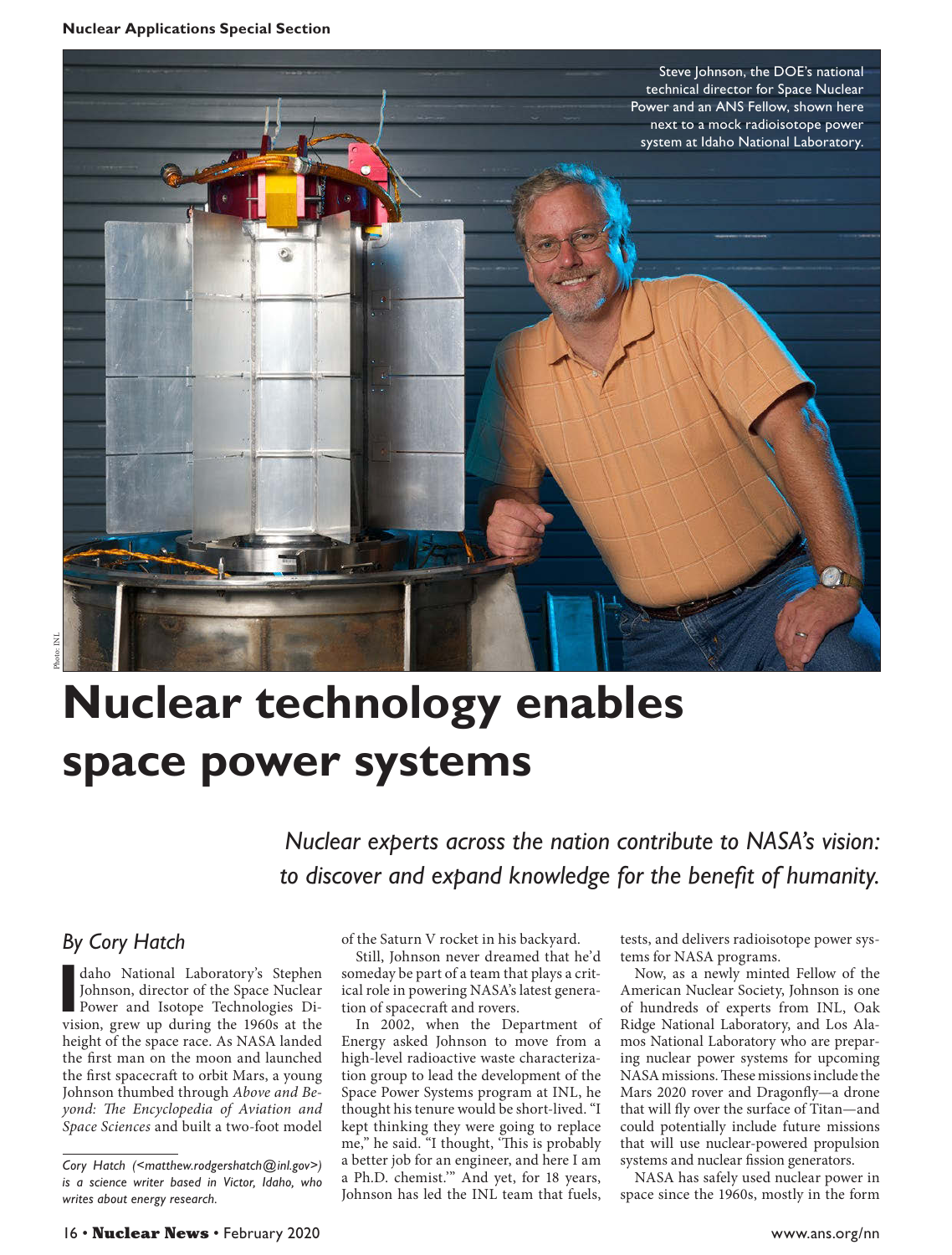

## **Nuclear technology enables space power systems**

*Nuclear experts across the nation contribute to NASA's vision: to discover and expand knowledge for the benefit of humanity.*

## *By Cory Hatch*

daho National Laboratory's Stephen<br>
Johnson, director of the Space Nuclear<br>
Power and Isotope Technologies Division, grew up during the 1960s at the daho National Laboratory's Stephen Johnson, director of the Space Nuclear Power and Isotope Technologies Diheight of the space race. As NASA landed the first man on the moon and launched the first spacecraft to orbit Mars, a young Johnson thumbed through *Above and Beyond: The Encyclopedia of Aviation and Space Sciences* and built a two-foot model

of the Saturn V rocket in his backyard.

Still, Johnson never dreamed that he'd someday be part of a team that plays a critical role in powering NASA's latest generation of spacecraft and rovers.

In 2002, when the Department of Energy asked Johnson to move from a high-level radioactive waste characterization group to lead the development of the Space Power Systems program at INL, he thought his tenure would be short-lived. "I kept thinking they were going to replace me," he said. "I thought, 'This is probably a better job for an engineer, and here I am a Ph.D. chemist.'" And yet, for 18 years, Johnson has led the INL team that fuels,

tests, and delivers radioisotope power systems for NASA programs.

Now, as a newly minted Fellow of the American Nuclear Society, Johnson is one of hundreds of experts from INL, Oak Ridge National Laboratory, and Los Alamos National Laboratory who are preparing nuclear power systems for upcoming NASA missions. These missions include the Mars 2020 rover and Dragonfly—a drone that will fly over the surface of Titan—and could potentially include future missions that will use nuclear-powered propulsion systems and nuclear fission generators.

NASA has safely used nuclear power in space since the 1960s, mostly in the form

*Cory Hatch ([<matthew.rodgershatch@inl.gov>](mailto:matthew.rodgershatch@inl.gov)) is a science writer based in Victor, Idaho, who writes about energy research.*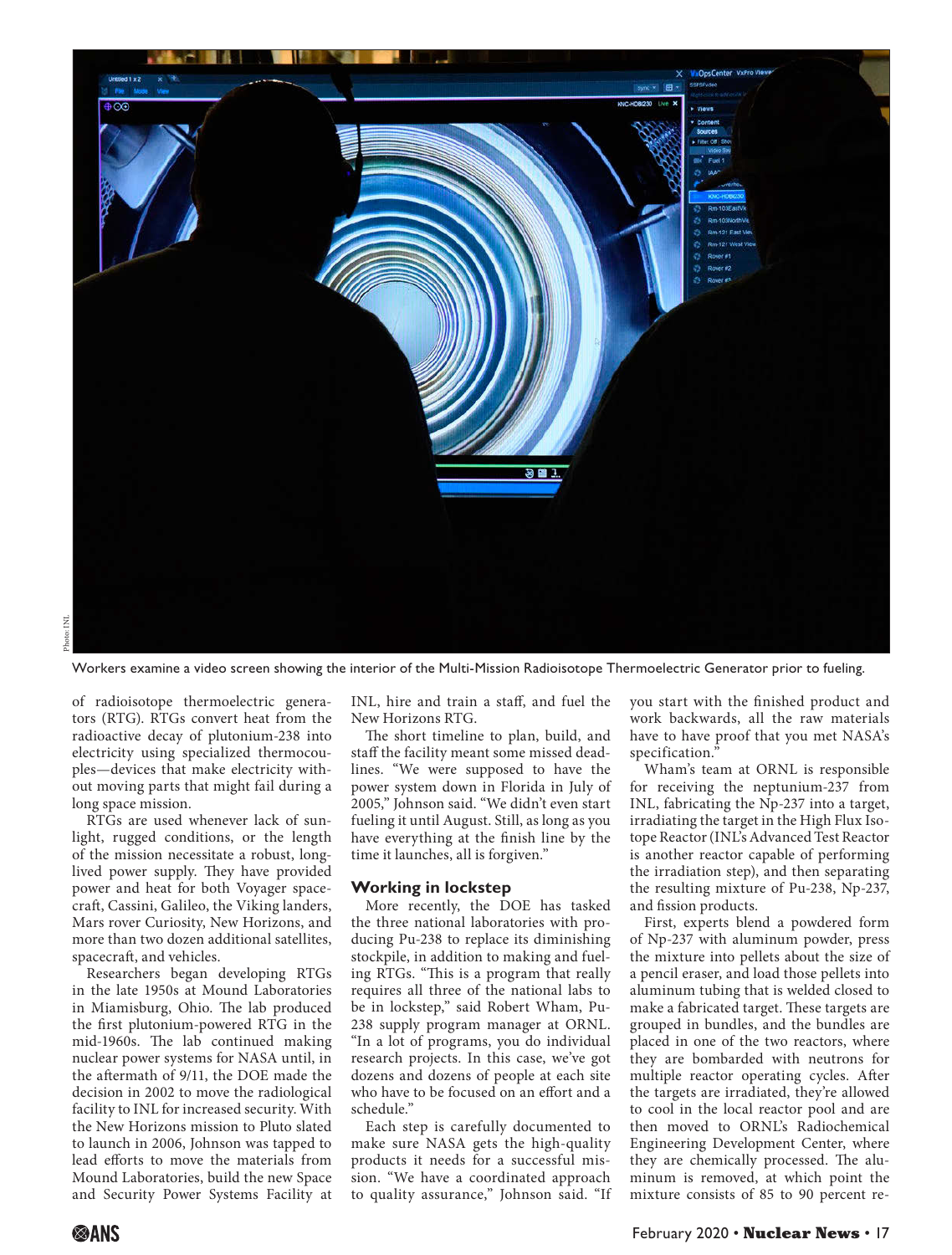

Workers examine a video screen showing the interior of the Multi-Mission Radioisotope Thermoelectric Generator prior to fueling.

of radioisotope thermoelectric generators (RTG). RTGs convert heat from the radioactive decay of plutonium-238 into electricity using specialized thermocouples—devices that make electricity without moving parts that might fail during a long space mission.

RTGs are used whenever lack of sunlight, rugged conditions, or the length of the mission necessitate a robust, longlived power supply. They have provided power and heat for both Voyager spacecraft, Cassini, Galileo, the Viking landers, Mars rover Curiosity, New Horizons, and more than two dozen additional satellites, spacecraft, and vehicles.

Researchers began developing RTGs in the late 1950s at Mound Laboratories in Miamisburg, Ohio. The lab produced the first plutonium-powered RTG in the mid-1960s. The lab continued making nuclear power systems for NASA until, in the aftermath of 9/11, the DOE made the decision in 2002 to move the radiological facility to INL for increased security. With the New Horizons mission to Pluto slated to launch in 2006, Johnson was tapped to lead efforts to move the materials from Mound Laboratories, build the new Space and Security Power Systems Facility at

INL, hire and train a staff, and fuel the New Horizons RTG.

The short timeline to plan, build, and staff the facility meant some missed deadlines. "We were supposed to have the power system down in Florida in July of 2005," Johnson said. "We didn't even start fueling it until August. Still, as long as you have everything at the finish line by the time it launches, all is forgiven."

## **Working in lockstep**

More recently, the DOE has tasked the three national laboratories with producing Pu-238 to replace its diminishing stockpile, in addition to making and fueling RTGs. "This is a program that really requires all three of the national labs to be in lockstep," said Robert Wham, Pu-238 supply program manager at ORNL. "In a lot of programs, you do individual research projects. In this case, we've got dozens and dozens of people at each site who have to be focused on an effort and a schedule."

Each step is carefully documented to make sure NASA gets the high-quality products it needs for a successful mission. "We have a coordinated approach to quality assurance," Johnson said. "If you start with the finished product and work backwards, all the raw materials have to have proof that you met NASA's specification.'

Wham's team at ORNL is responsible for receiving the neptunium-237 from INL, fabricating the Np-237 into a target, irradiating the target in the High Flux Isotope Reactor (INL's Advanced Test Reactor is another reactor capable of performing the irradiation step), and then separating the resulting mixture of Pu-238, Np-237, and fission products.

First, experts blend a powdered form of Np-237 with aluminum powder, press the mixture into pellets about the size of a pencil eraser, and load those pellets into aluminum tubing that is welded closed to make a fabricated target. These targets are grouped in bundles, and the bundles are placed in one of the two reactors, where they are bombarded with neutrons for multiple reactor operating cycles. After the targets are irradiated, they're allowed to cool in the local reactor pool and are then moved to ORNL's Radiochemical Engineering Development Center, where they are chemically processed. The aluminum is removed, at which point the mixture consists of 85 to 90 percent re-

Photo: INL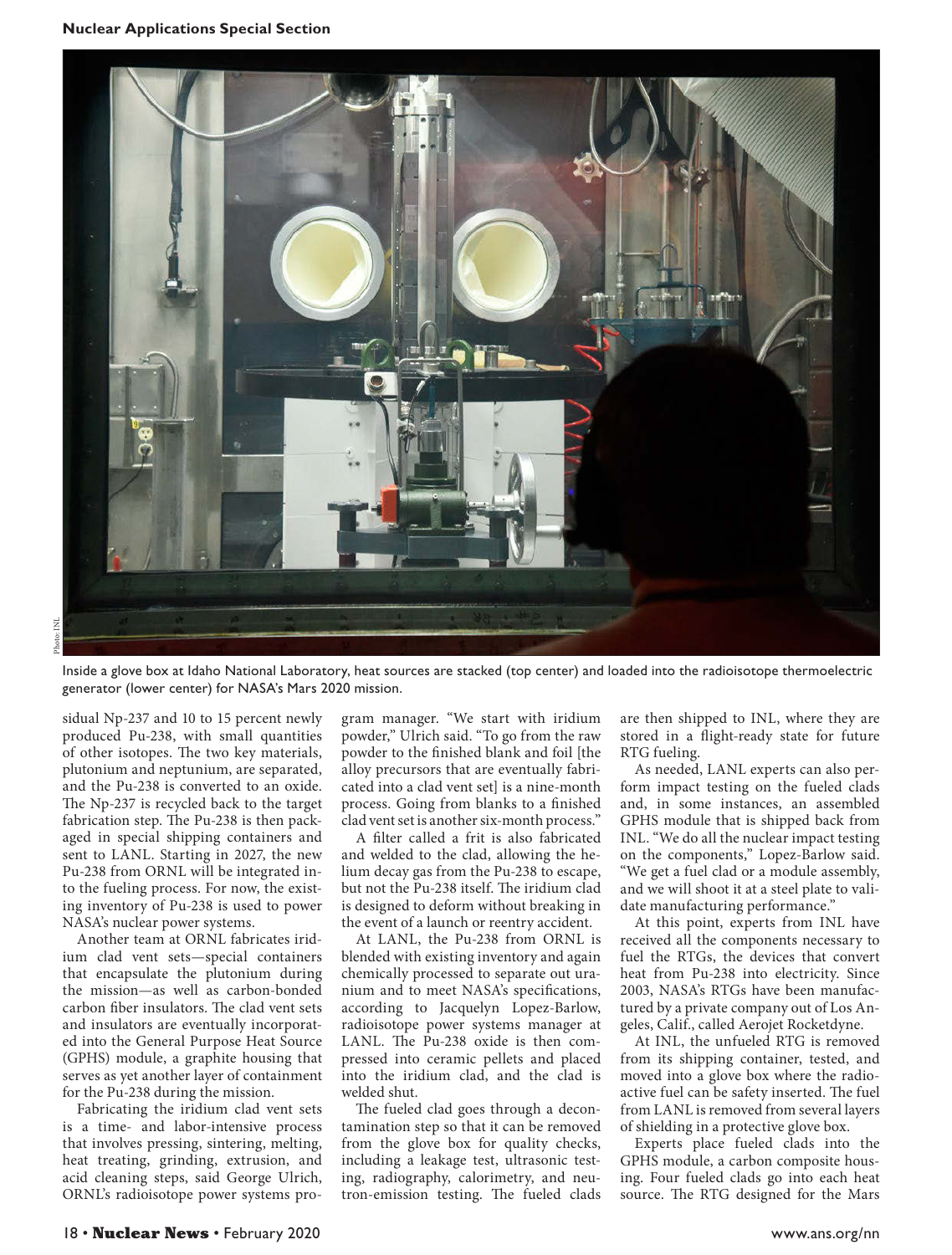

Inside a glove box at Idaho National Laboratory, heat sources are stacked (top center) and loaded into the radioisotope thermoelectric generator (lower center) for NASA's Mars 2020 mission.

sidual Np-237 and 10 to 15 percent newly produced Pu-238, with small quantities of other isotopes. The two key materials, plutonium and neptunium, are separated, and the Pu-238 is converted to an oxide. The Np-237 is recycled back to the target fabrication step. The Pu-238 is then packaged in special shipping containers and sent to LANL. Starting in 2027, the new Pu-238 from ORNL will be integrated into the fueling process. For now, the existing inventory of Pu-238 is used to power NASA's nuclear power systems.

Another team at ORNL fabricates iridium clad vent sets—special containers that encapsulate the plutonium during the mission—as well as carbon-bonded carbon fiber insulators. The clad vent sets and insulators are eventually incorporated into the General Purpose Heat Source (GPHS) module, a graphite housing that serves as yet another layer of containment for the Pu-238 during the mission.

Fabricating the iridium clad vent sets is a time- and labor-intensive process that involves pressing, sintering, melting, heat treating, grinding, extrusion, and acid cleaning steps, said George Ulrich, ORNL's radioisotope power systems program manager. "We start with iridium powder," Ulrich said. "To go from the raw powder to the finished blank and foil [the alloy precursors that are eventually fabricated into a clad vent set] is a nine-month process. Going from blanks to a finished clad vent set is another six-month process."

A filter called a frit is also fabricated and welded to the clad, allowing the helium decay gas from the Pu-238 to escape, but not the Pu-238 itself. The iridium clad is designed to deform without breaking in the event of a launch or reentry accident.

At LANL, the Pu-238 from ORNL is blended with existing inventory and again chemically processed to separate out uranium and to meet NASA's specifications, according to Jacquelyn Lopez-Barlow, radioisotope power systems manager at LANL. The Pu-238 oxide is then compressed into ceramic pellets and placed into the iridium clad, and the clad is welded shut.

The fueled clad goes through a decontamination step so that it can be removed from the glove box for quality checks, including a leakage test, ultrasonic testing, radiography, calorimetry, and neutron-emission testing. The fueled clads are then shipped to INL, where they are stored in a flight-ready state for future RTG fueling.

As needed, LANL experts can also perform impact testing on the fueled clads and, in some instances, an assembled GPHS module that is shipped back from INL. "We do all the nuclear impact testing on the components," Lopez-Barlow said. "We get a fuel clad or a module assembly, and we will shoot it at a steel plate to validate manufacturing performance."

At this point, experts from INL have received all the components necessary to fuel the RTGs, the devices that convert heat from Pu-238 into electricity. Since 2003, NASA's RTGs have been manufactured by a private company out of Los Angeles, Calif., called Aerojet Rocketdyne.

At INL, the unfueled RTG is removed from its shipping container, tested, and moved into a glove box where the radioactive fuel can be safety inserted. The fuel from LANL is removed from several layers of shielding in a protective glove box.

Experts place fueled clads into the GPHS module, a carbon composite housing. Four fueled clads go into each heat source. The RTG designed for the Mars